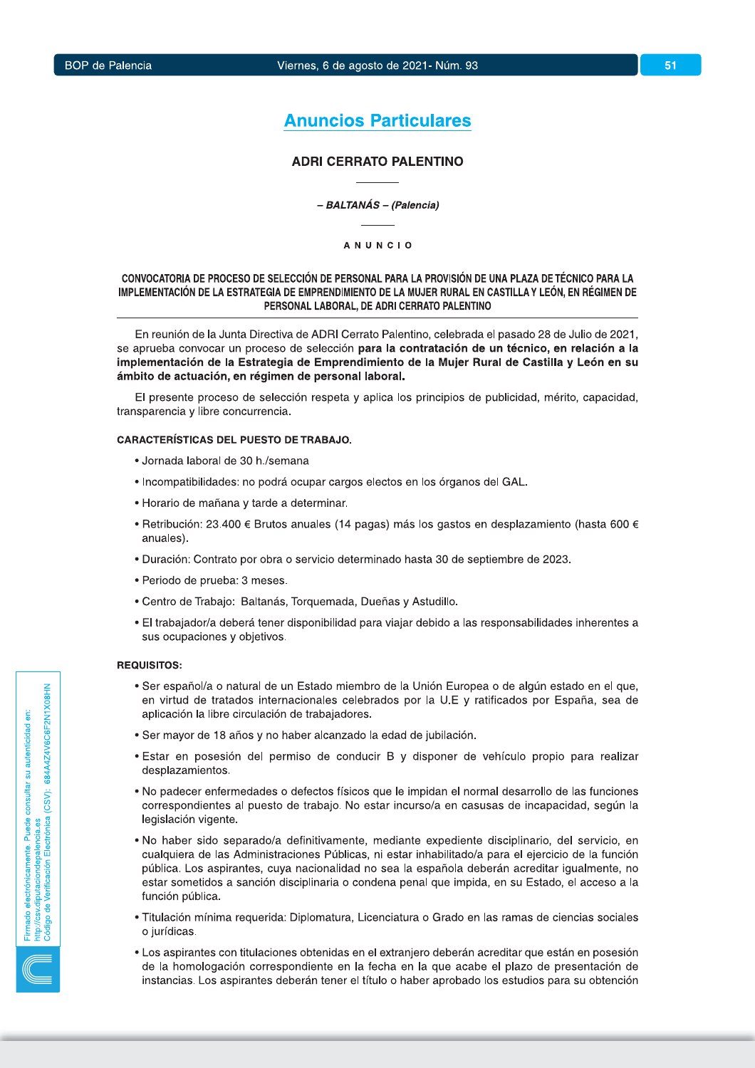# **Anuncios Particulares**

# **ADRI CERRATO PALENTINO**

#### - BALTANÁS - (Palencia)

#### **ANUNCIO**

# CONVOCATORIA DE PROCESO DE SELECCIÓN DE PERSONAL PARA LA PROVISIÓN DE UNA PLAZA DE TÉCNICO PARA LA IMPLEMENTACIÓN DE LA ESTRATEGIA DE EMPRENDIMIENTO DE LA MUJER RURAL EN CASTILLA Y LEÓN, EN RÉGIMEN DE PERSONAL LABORAL, DE ADRI CERRATO PALENTINO

En reunión de la Junta Directiva de ADRI Cerrato Palentino, celebrada el pasado 28 de Julio de 2021, se aprueba convocar un proceso de selección para la contratación de un técnico, en relación a la implementación de la Estrategia de Emprendimiento de la Mujer Rural de Castilla y León en su ámbito de actuación, en régimen de personal laboral.

El presente proceso de selección respeta y aplica los principios de publicidad, mérito, capacidad, transparencia y libre concurrencia.

## **CARACTERÍSTICAS DEL PUESTO DE TRABAJO.**

- · Jornada laboral de 30 h./semana
- · Incompatibilidades: no podrá ocupar cargos electos en los órganos del GAL.
- · Horario de mañana y tarde a determinar.
- Retribución: 23.400 € Brutos anuales (14 pagas) más los gastos en desplazamiento (hasta 600 € anuales).
- · Duración: Contrato por obra o servicio determinado hasta 30 de septiembre de 2023.
- · Periodo de prueba: 3 meses.
- Centro de Trabajo: Baltanás, Torquemada, Dueñas y Astudillo.
- · El trabajador/a deberá tener disponibilidad para viajar debido a las responsabilidades inherentes a sus ocupaciones y objetivos.

#### **REQUISITOS:**

- Ser español/a o natural de un Estado miembro de la Unión Europea o de algún estado en el que, en virtud de tratados internacionales celebrados por la U.E y ratificados por España, sea de aplicación la libre circulación de trabajadores.
- · Ser mayor de 18 años y no haber alcanzado la edad de jubilación.
- · Estar en posesión del permiso de conducir B y disponer de vehículo propio para realizar desplazamientos.
- No padecer enfermedades o defectos físicos que le impidan el normal desarrollo de las funciones correspondientes al puesto de trabajo. No estar incurso/a en casusas de incapacidad, según la legislación vigente.
- · No haber sido separado/a definitivamente, mediante expediente disciplinario, del servicio, en cualquiera de las Administraciones Públicas, ni estar inhabilitado/a para el ejercicio de la función pública. Los aspirantes, cuya nacionalidad no sea la española deberán acreditar igualmente, no estar sometidos a sanción disciplinaria o condena penal que impida, en su Estado, el acceso a la función pública.
- · Titulación mínima requerida: Diplomatura, Licenciatura o Grado en las ramas de ciencias sociales o jurídicas.
- Los aspirantes con titulaciones obtenidas en el extranjero deberán acreditar que están en posesión de la homologación correspondiente en la fecha en la que acabe el plazo de presentación de instancias. Los aspirantes deberán tener el título o haber aprobado los estudios para su obtención